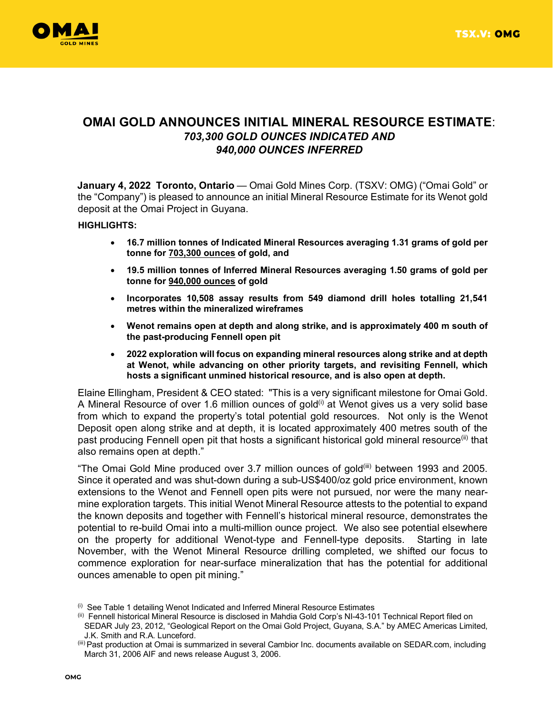

# **OMAI GOLD ANNOUNCES INITIAL MINERAL RESOURCE ESTIMATE**: *703,300 GOLD OUNCES INDICATED AND 940,000 OUNCES INFERRED*

**January 4, 2022 Toronto, Ontario** — Omai Gold Mines Corp. (TSXV: OMG) ("Omai Gold" or the "Company") is pleased to announce an initial Mineral Resource Estimate for its Wenot gold deposit at the Omai Project in Guyana.

#### **HIGHLIGHTS:**

- **16.7 million tonnes of Indicated Mineral Resources averaging 1.31 grams of gold per tonne for 703,300 ounces of gold, and**
- **19.5 million tonnes of Inferred Mineral Resources averaging 1.50 grams of gold per tonne for 940,000 ounces of gold**
- **Incorporates 10,508 assay results from 549 diamond drill holes totalling 21,541 metres within the mineralized wireframes**
- **Wenot remains open at depth and along strike, and is approximately 400 m south of the past-producing Fennell open pit**
- **2022 exploration will focus on expanding mineral resources along strike and at depth at Wenot, while advancing on other priority targets, and revisiting Fennell, which hosts a significant unmined historical resource, and is also open at depth.**

Elaine Ellingham, President & CEO stated: "This is a very significant milestone for Omai Gold. A Mineral Resource of over 1.6 million ounces of gold<sup>(i)</sup> at Wenot gives us a very solid base from which to expand the property's total potential gold resources. Not only is the Wenot Deposit open along strike and at depth, it is located approximately 400 metres south of the past producing Fennell open pit that hosts a significant historical gold mineral resource<sup>(ii)</sup> that also remains open at depth."

"The Omai Gold Mine produced over 3.7 million ounces of gold(iii) between 1993 and 2005. Since it operated and was shut-down during a sub-US\$400/oz gold price environment, known extensions to the Wenot and Fennell open pits were not pursued, nor were the many nearmine exploration targets. This initial Wenot Mineral Resource attests to the potential to expand the known deposits and together with Fennell's historical mineral resource, demonstrates the potential to re-build Omai into a multi-million ounce project. We also see potential elsewhere on the property for additional Wenot-type and Fennell-type deposits. Starting in late November, with the Wenot Mineral Resource drilling completed, we shifted our focus to commence exploration for near-surface mineralization that has the potential for additional ounces amenable to open pit mining."

 $(i)$  See Table 1 detailing Wenot Indicated and Inferred Mineral Resource Estimates

<sup>(</sup>ii) Fennell historical Mineral Resource is disclosed in Mahdia Gold Corp's NI-43-101 Technical Report filed on

SEDAR July 23, 2012, "Geological Report on the Omai Gold Project, Guyana, S.A." by AMEC Americas Limited, J.K. Smith and R.A. Lunceford.

<sup>(</sup>iii) Past production at Omai is summarized in several Cambior Inc. documents available on SEDAR.com, including March 31, 2006 AIF and news release August 3, 2006.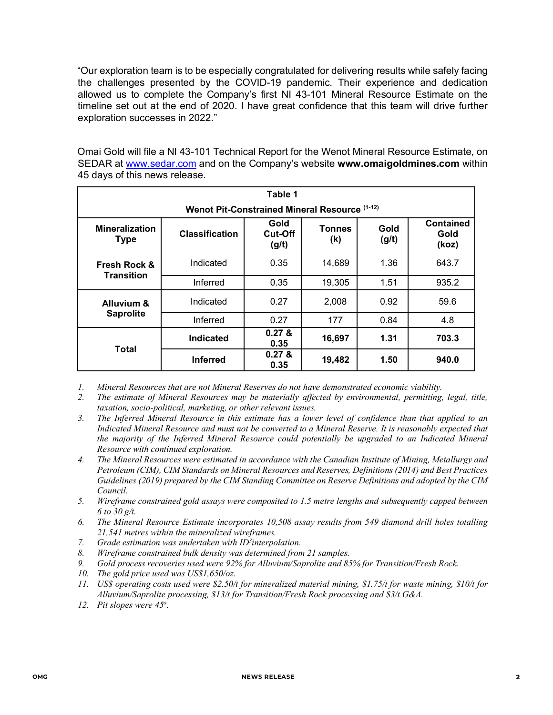"Our exploration team is to be especially congratulated for delivering results while safely facing the challenges presented by the COVID-19 pandemic. Their experience and dedication allowed us to complete the Company's first NI 43-101 Mineral Resource Estimate on the timeline set out at the end of 2020. I have great confidence that this team will drive further exploration successes in 2022."

Omai Gold will file a NI 43-101 Technical Report for the Wenot Mineral Resource Estimate, on SEDAR at www.sedar.com and on the Company's website **www.omaigoldmines.com** within 45 days of this news release.

| Table 1                                       |                       |                          |                      |               |                                   |  |  |  |  |
|-----------------------------------------------|-----------------------|--------------------------|----------------------|---------------|-----------------------------------|--|--|--|--|
| Wenot Pit-Constrained Mineral Resource (1-12) |                       |                          |                      |               |                                   |  |  |  |  |
| <b>Mineralization</b><br><b>Type</b>          | <b>Classification</b> | Gold<br>Cut-Off<br>(g/t) | <b>Tonnes</b><br>(k) | Gold<br>(g/t) | <b>Contained</b><br>Gold<br>(koz) |  |  |  |  |
| <b>Fresh Rock &amp;</b><br><b>Transition</b>  | Indicated             | 0.35                     | 14,689               | 1.36          | 643.7                             |  |  |  |  |
|                                               | Inferred              | 0.35                     | 19,305               | 1.51          | 935.2                             |  |  |  |  |
| <b>Alluvium &amp;</b><br><b>Saprolite</b>     | Indicated             | 0.27                     | 2,008                | 0.92          | 59.6                              |  |  |  |  |
|                                               | Inferred              | 0.27                     | 177                  | 0.84          | 4.8                               |  |  |  |  |
| Total                                         | Indicated             | 0.27 &<br>0.35           | 16,697               | 1.31          | 703.3                             |  |  |  |  |
|                                               | <b>Inferred</b>       | 0.27 &<br>0.35           | 19,482               | 1.50          | 940.0                             |  |  |  |  |

*1. Mineral Resources that are not Mineral Reserves do not have demonstrated economic viability.* 

- *2. The estimate of Mineral Resources may be materially affected by environmental, permitting, legal, title, taxation, socio-political, marketing, or other relevant issues.*
- *3. The Inferred Mineral Resource in this estimate has a lower level of confidence than that applied to an Indicated Mineral Resource and must not be converted to a Mineral Reserve. It is reasonably expected that the majority of the Inferred Mineral Resource could potentially be upgraded to an Indicated Mineral Resource with continued exploration.*
- *4. The Mineral Resources were estimated in accordance with the Canadian Institute of Mining, Metallurgy and Petroleum (CIM), CIM Standards on Mineral Resources and Reserves, Definitions (2014) and Best Practices Guidelines (2019) prepared by the CIM Standing Committee on Reserve Definitions and adopted by the CIM Council.*
- *5. Wireframe constrained gold assays were composited to 1.5 metre lengths and subsequently capped between 6 to 30 g/t.*
- *6. The Mineral Resource Estimate incorporates 10,508 assay results from 549 diamond drill holes totalling 21,541 metres within the mineralized wireframes.*
- *7. Grade estimation was undertaken with ID<sup>3</sup> interpolation.*
- *8. Wireframe constrained bulk density was determined from 21 samples.*
- *9. Gold process recoveries used were 92% for Alluvium/Saprolite and 85% for Transition/Fresh Rock.*
- *10. The gold price used was US\$1,650/oz.*
- *11. US\$ operating costs used were \$2.50/t for mineralized material mining, \$1.75/t for waste mining, \$10/t for Alluvium/Saprolite processing, \$13/t for Transition/Fresh Rock processing and \$3/t G&A.*
- *12. Pit slopes were 45<sup>o</sup> .*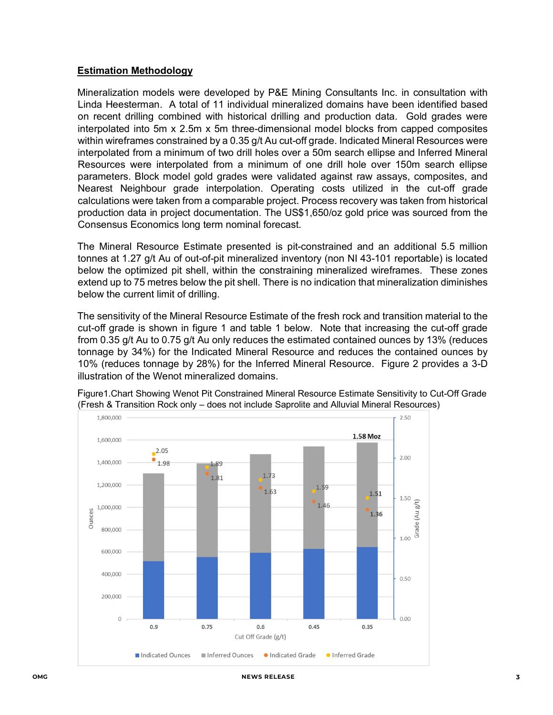# **Estimation Methodology**

Mineralization models were developed by P&E Mining Consultants Inc. in consultation with Linda Heesterman. A total of 11 individual mineralized domains have been identified based on recent drilling combined with historical drilling and production data. Gold grades were interpolated into 5m x 2.5m x 5m three-dimensional model blocks from capped composites within wireframes constrained by a 0.35 g/t Au cut-off grade. Indicated Mineral Resources were interpolated from a minimum of two drill holes over a 50m search ellipse and Inferred Mineral Resources were interpolated from a minimum of one drill hole over 150m search ellipse parameters. Block model gold grades were validated against raw assays, composites, and Nearest Neighbour grade interpolation. Operating costs utilized in the cut-off grade calculations were taken from a comparable project. Process recovery was taken from historical production data in project documentation. The US\$1,650/oz gold price was sourced from the Consensus Economics long term nominal forecast.

The Mineral Resource Estimate presented is pit-constrained and an additional 5.5 million tonnes at 1.27 g/t Au of out-of-pit mineralized inventory (non NI 43-101 reportable) is located below the optimized pit shell, within the constraining mineralized wireframes. These zones extend up to 75 metres below the pit shell. There is no indication that mineralization diminishes below the current limit of drilling.

The sensitivity of the Mineral Resource Estimate of the fresh rock and transition material to the cut-off grade is shown in figure 1 and table 1 below. Note that increasing the cut-off grade from 0.35 g/t Au to 0.75 g/t Au only reduces the estimated contained ounces by 13% (reduces tonnage by 34%) for the Indicated Mineral Resource and reduces the contained ounces by 10% (reduces tonnage by 28%) for the Inferred Mineral Resource. Figure 2 provides a 3-D illustration of the Wenot mineralized domains.



Figure1.Chart Showing Wenot Pit Constrained Mineral Resource Estimate Sensitivity to Cut-Off Grade (Fresh & Transition Rock only – does not include Saprolite and Alluvial Mineral Resources)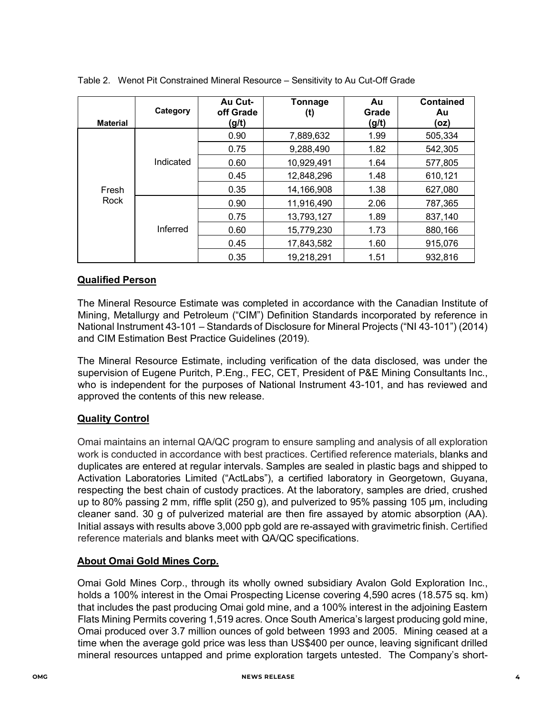| <b>Material</b> | Category  | Au Cut-<br>off Grade<br>(g/t) | Tonnage<br>(t) | Au<br>Grade<br>(g/t) | <b>Contained</b><br>Au<br>(oz) |
|-----------------|-----------|-------------------------------|----------------|----------------------|--------------------------------|
| Fresh<br>Rock   | Indicated | 0.90                          | 7,889,632      | 1.99                 | 505,334                        |
|                 |           | 0.75                          | 9,288,490      | 1.82                 | 542,305                        |
|                 |           | 0.60                          | 10,929,491     | 1.64                 | 577,805                        |
|                 |           | 0.45                          | 12,848,296     | 1.48                 | 610,121                        |
|                 |           | 0.35                          | 14,166,908     | 1.38                 | 627,080                        |
|                 | Inferred  | 0.90                          | 11,916,490     | 2.06                 | 787,365                        |
|                 |           | 0.75                          | 13,793,127     | 1.89                 | 837,140                        |
|                 |           | 0.60                          | 15,779,230     | 1.73                 | 880,166                        |
|                 |           | 0.45                          | 17,843,582     | 1.60                 | 915,076                        |
|                 |           | 0.35                          | 19,218,291     | 1.51                 | 932,816                        |

Table 2.Wenot Pit Constrained Mineral Resource – Sensitivity to Au Cut-Off Grade

# **Qualified Person**

The Mineral Resource Estimate was completed in accordance with the Canadian Institute of Mining, Metallurgy and Petroleum ("CIM") Definition Standards incorporated by reference in National Instrument 43-101 – Standards of Disclosure for Mineral Projects ("NI 43-101") (2014) and CIM Estimation Best Practice Guidelines (2019).

The Mineral Resource Estimate, including verification of the data disclosed, was under the supervision of Eugene Puritch, P.Eng., FEC, CET, President of P&E Mining Consultants Inc., who is independent for the purposes of National Instrument 43-101, and has reviewed and approved the contents of this new release.

# **Quality Control**

Omai maintains an internal QA/QC program to ensure sampling and analysis of all exploration work is conducted in accordance with best practices. Certified reference materials, blanks and duplicates are entered at regular intervals. Samples are sealed in plastic bags and shipped to Activation Laboratories Limited ("ActLabs"), a certified laboratory in Georgetown, Guyana, respecting the best chain of custody practices. At the laboratory, samples are dried, crushed up to 80% passing 2 mm, riffle split (250 g), and pulverized to 95% passing 105 μm, including cleaner sand. 30 g of pulverized material are then fire assayed by atomic absorption (AA). Initial assays with results above 3,000 ppb gold are re-assayed with gravimetric finish. Certified reference materials and blanks meet with QA/QC specifications.

# **About Omai Gold Mines Corp.**

Omai Gold Mines Corp., through its wholly owned subsidiary Avalon Gold Exploration Inc., holds a 100% interest in the Omai Prospecting License covering 4,590 acres (18.575 sq. km) that includes the past producing Omai gold mine, and a 100% interest in the adjoining Eastern Flats Mining Permits covering 1,519 acres. Once South America's largest producing gold mine, Omai produced over 3.7 million ounces of gold between 1993 and 2005. Mining ceased at a time when the average gold price was less than US\$400 per ounce, leaving significant drilled mineral resources untapped and prime exploration targets untested. The Company's short